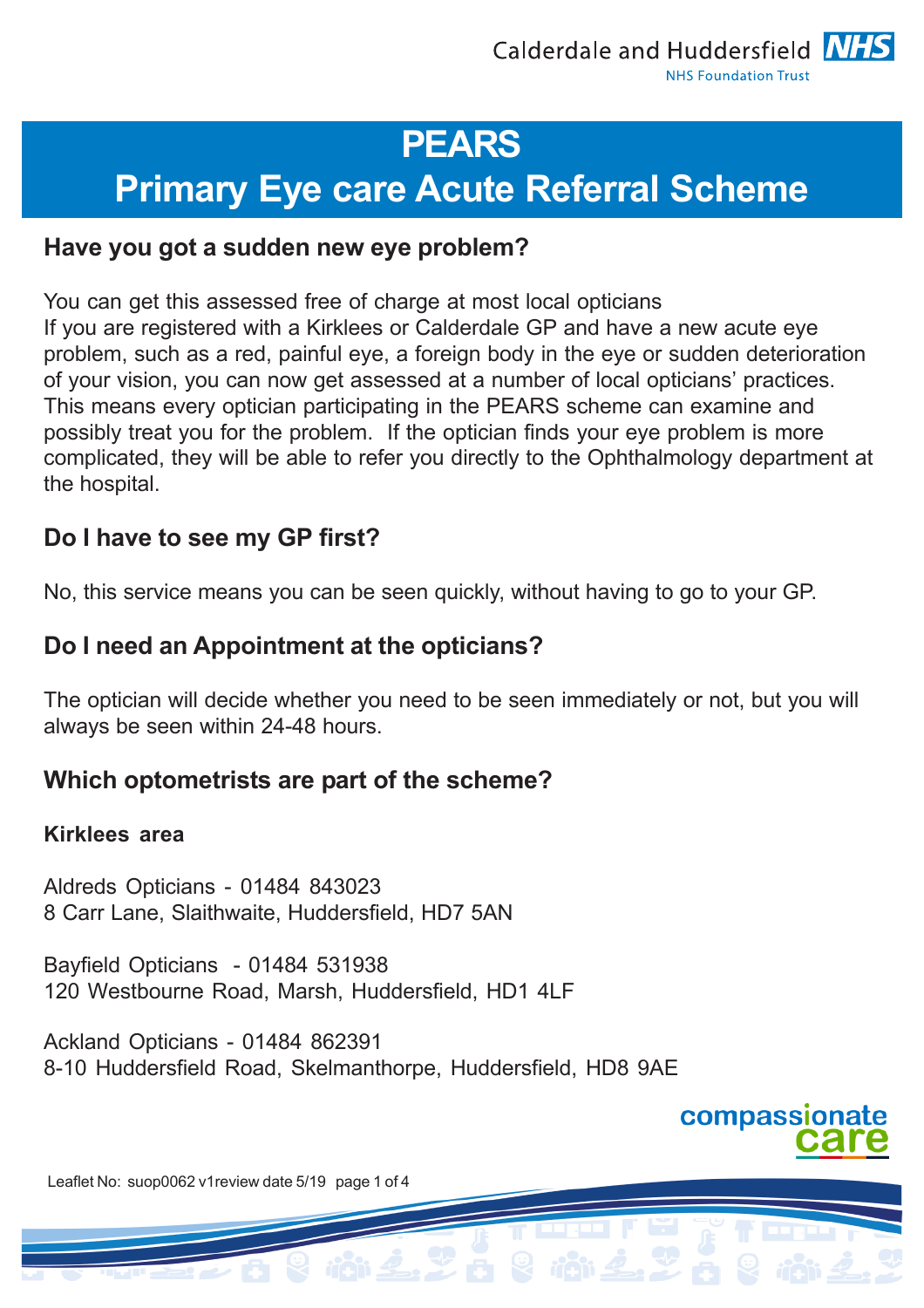## **PEARS**

# **Primary Eye care Acute Referral Scheme**

## **Have you got a sudden new eye problem?**

You can get this assessed free of charge at most local opticians If you are registered with a Kirklees or Calderdale GP and have a new acute eye problem, such as a red, painful eye, a foreign body in the eye or sudden deterioration of your vision, you can now get assessed at a number of local opticians' practices. This means every optician participating in the PEARS scheme can examine and possibly treat you for the problem. If the optician finds your eye problem is more complicated, they will be able to refer you directly to the Ophthalmology department at the hospital.

## **Do I have to see my GP first?**

No, this service means you can be seen quickly, without having to go to your GP.

## **Do I need an Appointment at the opticians?**

The optician will decide whether you need to be seen immediately or not, but you will always be seen within 24-48 hours.

## **Which optometrists are part of the scheme?**

#### **Kirklees area**

Aldreds Opticians - 01484 843023 8 Carr Lane, Slaithwaite, Huddersfield, HD7 5AN

Bayfield Opticians - 01484 531938 120 Westbourne Road, Marsh, Huddersfield, HD1 4LF

Ackland Opticians - 01484 862391 8-10 Huddersfield Road, Skelmanthorpe, Huddersfield, HD8 9AE



Leaflet No: suop0062 v1review date 5/19 page 1 of 4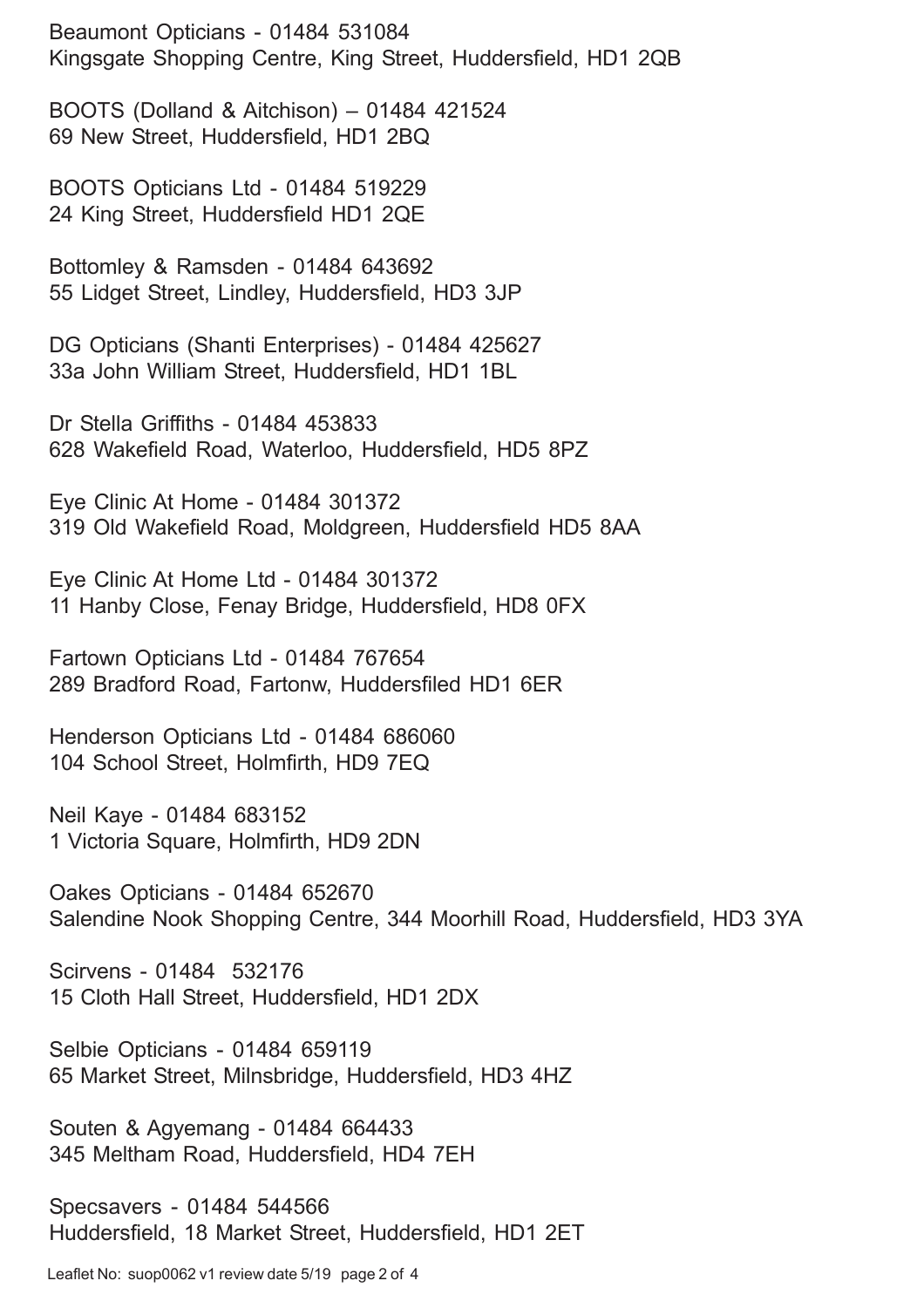Beaumont Opticians - 01484 531084 Kingsgate Shopping Centre, King Street, Huddersfield, HD1 2QB

BOOTS (Dolland & Aitchison) – 01484 421524 69 New Street, Huddersfield, HD1 2BQ

BOOTS Opticians Ltd - 01484 519229 24 King Street, Huddersfield HD1 2QE

Bottomley & Ramsden - 01484 643692 55 Lidget Street, Lindley, Huddersfield, HD3 3JP

DG Opticians (Shanti Enterprises) - 01484 425627 33a John William Street, Huddersfield, HD1 1BL

Dr Stella Griffiths - 01484 453833 628 Wakefield Road, Waterloo, Huddersfield, HD5 8PZ

Eye Clinic At Home - 01484 301372 319 Old Wakefield Road, Moldgreen, Huddersfield HD5 8AA

Eye Clinic At Home Ltd - 01484 301372 11 Hanby Close, Fenay Bridge, Huddersfield, HD8 0FX

Fartown Opticians Ltd - 01484 767654 289 Bradford Road, Fartonw, Huddersfiled HD1 6ER

Henderson Opticians Ltd - 01484 686060 104 School Street, Holmfirth, HD9 7EQ

Neil Kaye - 01484 683152 1 Victoria Square, Holmfirth, HD9 2DN

Oakes Opticians - 01484 652670 Salendine Nook Shopping Centre, 344 Moorhill Road, Huddersfield, HD3 3YA

Scirvens - 01484 532176 15 Cloth Hall Street, Huddersfield, HD1 2DX

Selbie Opticians - 01484 659119 65 Market Street, Milnsbridge, Huddersfield, HD3 4HZ

Souten & Agyemang - 01484 664433 345 Meltham Road, Huddersfield, HD4 7EH

Specsavers - 01484 544566 Huddersfield, 18 Market Street, Huddersfield, HD1 2ET

Leaflet No: suop0062 v1 review date 5/19 page 2 of 4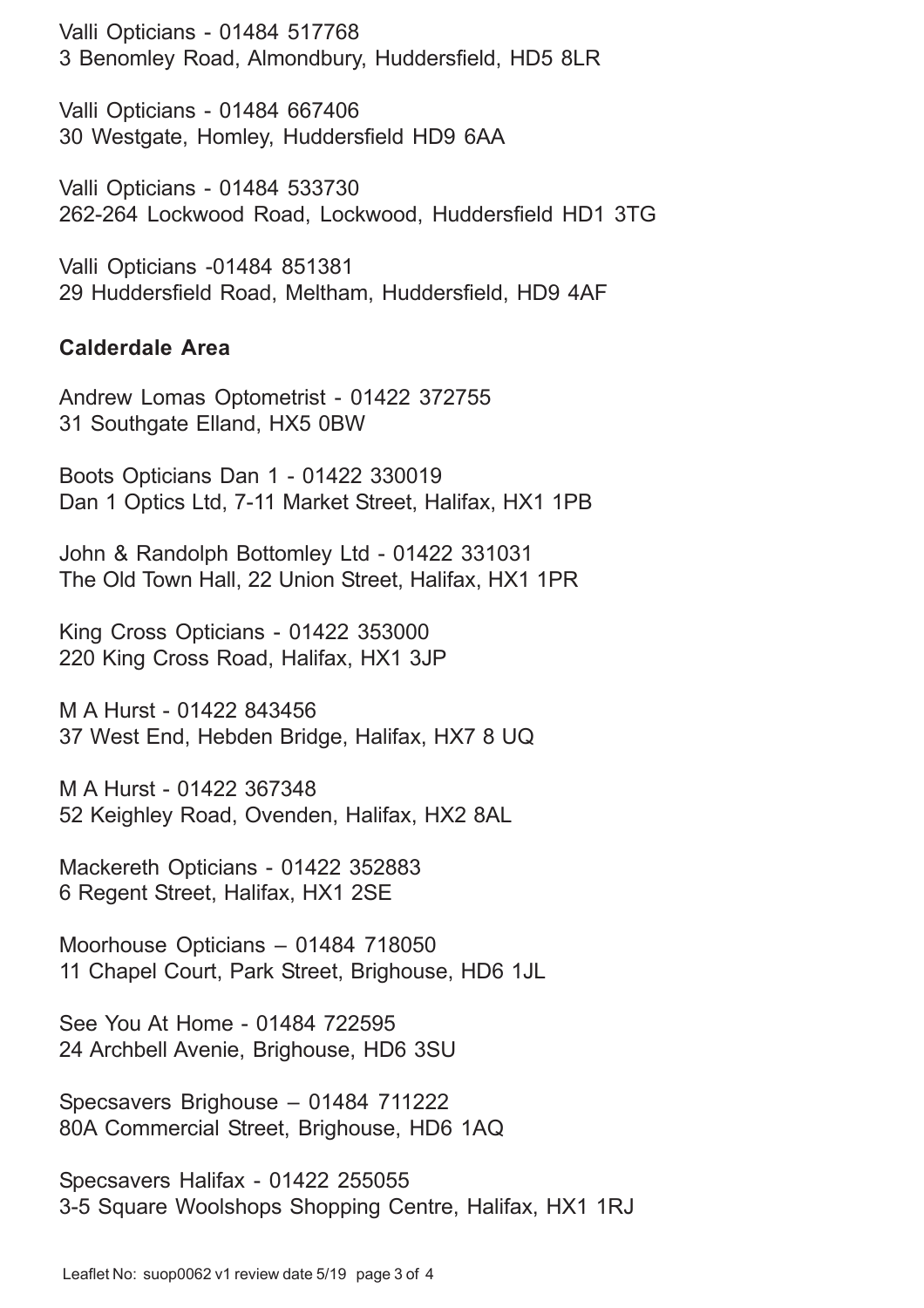Valli Opticians - 01484 517768 3 Benomley Road, Almondbury, Huddersfield, HD5 8LR

Valli Opticians - 01484 667406 30 Westgate, Homley, Huddersfield HD9 6AA

Valli Opticians - 01484 533730 262-264 Lockwood Road, Lockwood, Huddersfield HD1 3TG

Valli Opticians -01484 851381 29 Huddersfield Road, Meltham, Huddersfield, HD9 4AF

#### **Calderdale Area**

Andrew Lomas Optometrist - 01422 372755 31 Southgate Elland, HX5 0BW

Boots Opticians Dan 1 - 01422 330019 Dan 1 Optics Ltd, 7-11 Market Street, Halifax, HX1 1PB

John & Randolph Bottomley Ltd - 01422 331031 The Old Town Hall, 22 Union Street, Halifax, HX1 1PR

King Cross Opticians - 01422 353000 220 King Cross Road, Halifax, HX1 3JP

M A Hurst - 01422 843456 37 West End, Hebden Bridge, Halifax, HX7 8 UQ

M A Hurst - 01422 367348 52 Keighley Road, Ovenden, Halifax, HX2 8AL

Mackereth Opticians - 01422 352883 6 Regent Street, Halifax, HX1 2SE

Moorhouse Opticians – 01484 718050 11 Chapel Court, Park Street, Brighouse, HD6 1JL

See You At Home - 01484 722595 24 Archbell Avenie, Brighouse, HD6 3SU

Specsavers Brighouse – 01484 711222 80A Commercial Street, Brighouse, HD6 1AQ

Specsavers Halifax - 01422 255055 3-5 Square Woolshops Shopping Centre, Halifax, HX1 1RJ